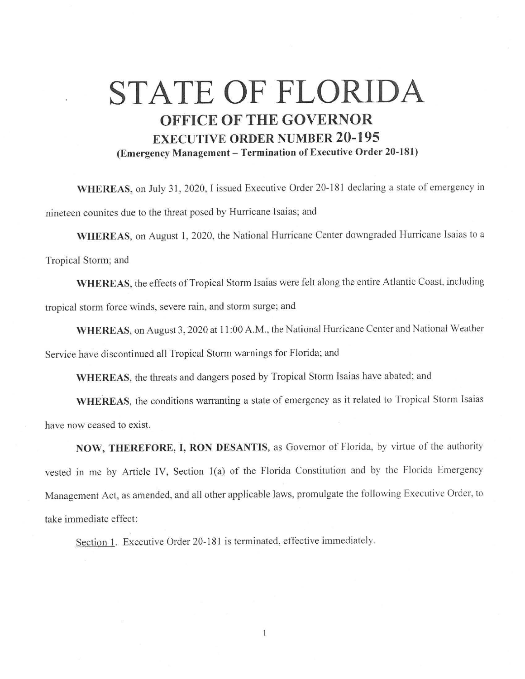## **STATE OF FLORIDA OFFICE OF THE GOVERNOR EXECUTIVE ORDER NUMBER 20-195 (Emergency Management-Termination of Executive Order 20-181)**

**WHEREAS,** on July 31, 2020, I issued Executive Order 20-181 declaring a state of emergency in nineteen counites due to the threat posed by Hurricane Isaias; and

**WHEREAS,** on August I, 2020, the National Hurricane Center downgraded Hurricane Isaias to a Tropical Storm; and

**WHEREAS,** the effects of Tropical Storm Isaias were felt along the entire Atlantic Coast, including tropical storm force winds, severe rain, and storm surge; and

**WHEREAS,** on August 3, 2020 at 11 :00 A.M., the National Hurricane Center and National Weather Service have discontinued all Tropical Storm warnings for Florida; and

**WHEREAS,** the threats and dangers posed by Tropical Storm Isaias have abated; and

**WHEREAS,** the conditions warranting a state of emergency as it related to Tropical Storm Isaias have now ceased to exist.

**NOW, THEREFORE, I, RON DESANTIS,** as Governor of Florida, by virtue of the authority vested in me by Article IV, Section 1(a) of the Florida Constitution and by the Florida Emergency Management Act, as amended, and all other applicable laws, promulgate the following Executive Order, to take immediate effect:

Section l. Executive Order 20-181 is terminated, effective immediately.